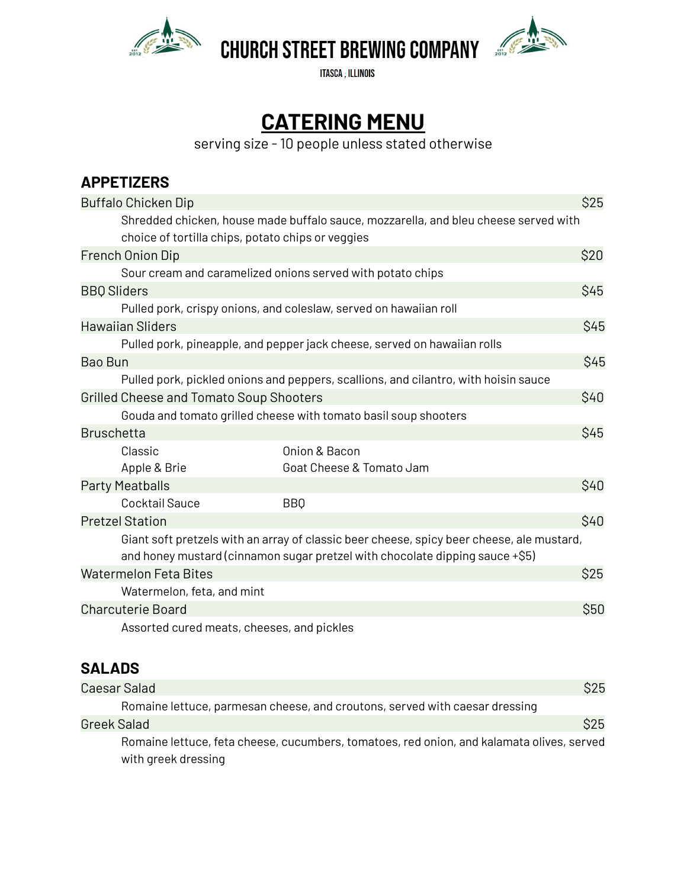

**CHURCH STREET BREWING COMPANY** 



**ITASCA, ILLINOIS** 

## **CATERING MENU**

serving size - 10 people unless stated otherwise

| <b>APPETIZERS</b>                                 |                                                                                                                                                                           |             |
|---------------------------------------------------|---------------------------------------------------------------------------------------------------------------------------------------------------------------------------|-------------|
| <b>Buffalo Chicken Dip</b>                        |                                                                                                                                                                           | \$25        |
| choice of tortilla chips, potato chips or veggies | Shredded chicken, house made buffalo sauce, mozzarella, and bleu cheese served with                                                                                       |             |
| <b>French Onion Dip</b>                           |                                                                                                                                                                           | \$20        |
|                                                   | Sour cream and caramelized onions served with potato chips                                                                                                                |             |
| <b>BBQ Sliders</b>                                |                                                                                                                                                                           | \$45        |
|                                                   | Pulled pork, crispy onions, and coleslaw, served on hawaiian roll                                                                                                         |             |
| <b>Hawaiian Sliders</b>                           |                                                                                                                                                                           | <b>\$45</b> |
|                                                   | Pulled pork, pineapple, and pepper jack cheese, served on hawaiian rolls                                                                                                  |             |
| <b>Bao Bun</b>                                    |                                                                                                                                                                           | <b>\$45</b> |
|                                                   | Pulled pork, pickled onions and peppers, scallions, and cilantro, with hoisin sauce                                                                                       |             |
| <b>Grilled Cheese and Tomato Soup Shooters</b>    |                                                                                                                                                                           | \$40        |
|                                                   | Gouda and tomato grilled cheese with tomato basil soup shooters                                                                                                           |             |
| <b>Bruschetta</b>                                 |                                                                                                                                                                           | \$45        |
| Classic                                           | Onion & Bacon                                                                                                                                                             |             |
| Apple & Brie                                      | Goat Cheese & Tomato Jam                                                                                                                                                  |             |
| <b>Party Meatballs</b>                            |                                                                                                                                                                           | \$40        |
| Cocktail Sauce                                    | <b>BBO</b>                                                                                                                                                                |             |
| <b>Pretzel Station</b>                            |                                                                                                                                                                           | \$40        |
|                                                   | Giant soft pretzels with an array of classic beer cheese, spicy beer cheese, ale mustard,<br>and honey mustard (cinnamon sugar pretzel with chocolate dipping sauce +\$5) |             |
| <b>Watermelon Feta Bites</b>                      |                                                                                                                                                                           | <b>\$25</b> |
| Watermelon, feta, and mint                        |                                                                                                                                                                           |             |
| <b>Charcuterie Board</b>                          |                                                                                                                                                                           | \$50        |
| Assorted cured meats, cheeses, and pickles        |                                                                                                                                                                           |             |

## **SALADS**

|             | Caesar Salad                                                                                                     | <b>\$25</b> |
|-------------|------------------------------------------------------------------------------------------------------------------|-------------|
|             | Romaine lettuce, parmesan cheese, and croutons, served with caesar dressing                                      |             |
| Greek Salad |                                                                                                                  | \$25        |
|             | Romaine lettuce, feta cheese, cucumbers, tomatoes, red onion, and kalamata olives, served<br>with greek dressing |             |